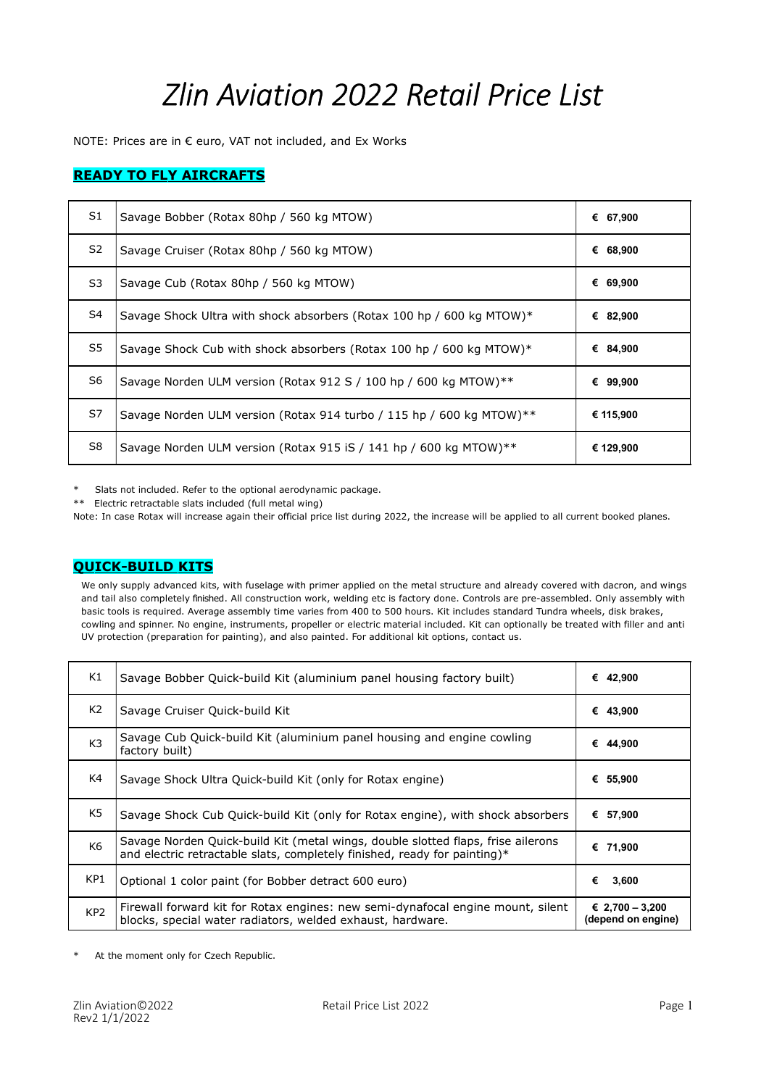# Zlin Aviation 2022 Retail Price List

NOTE: Prices are in € euro, VAT not included, and Ex Works

#### **READY TO FLY AIRCRAFTS**

| S1             | Savage Bobber (Rotax 80hp / 560 kg MTOW)                              | € 67,900    |
|----------------|-----------------------------------------------------------------------|-------------|
| S <sub>2</sub> | Savage Cruiser (Rotax 80hp / 560 kg MTOW)                             | 68,900<br>€ |
| S3             | Savage Cub (Rotax 80hp / 560 kg MTOW)                                 | 69,900<br>€ |
| S4             | Savage Shock Ultra with shock absorbers (Rotax 100 hp / 600 kg MTOW)* | € 82,900    |
| S5             | Savage Shock Cub with shock absorbers (Rotax 100 hp / 600 kg MTOW)*   | € 84,900    |
| S6             | Savage Norden ULM version (Rotax 912 S / 100 hp / 600 kg MTOW)**      | 99,900<br>€ |
| S7             | Savage Norden ULM version (Rotax 914 turbo / 115 hp / 600 kg MTOW)**  | € 115,900   |
| S8             | Savage Norden ULM version (Rotax 915 iS / 141 hp / 600 kg MTOW)**     | € 129,900   |

\* Slats not included. Refer to the optional aerodynamic package.

\*\* Electric retractable slats included (full metal wing)

Note: In case Rotax will increase again their official price list during 2022, the increase will be applied to all current booked planes.

#### QUICK-BUILD KITS

We only supply advanced kits, with fuselage with primer applied on the metal structure and already covered with dacron, and wings and tail also completely finished. All construction work, welding etc is factory done. Controls are pre-assembled. Only assembly with basic tools is required. Average assembly time varies from 400 to 500 hours. Kit includes standard Tundra wheels, disk brakes, cowling and spinner. No engine, instruments, propeller or electric material included. Kit can optionally be treated with filler and anti UV protection (preparation for painting), and also painted. For additional kit options, contact us.

| K1              | Savage Bobber Quick-build Kit (aluminium panel housing factory built)                                                                                         | € 42.900                              |
|-----------------|---------------------------------------------------------------------------------------------------------------------------------------------------------------|---------------------------------------|
| K <sub>2</sub>  | Savage Cruiser Quick-build Kit                                                                                                                                | 43,900<br>€                           |
| K <sub>3</sub>  | Savage Cub Quick-build Kit (aluminium panel housing and engine cowling<br>factory built)                                                                      | 44,900<br>€                           |
| K4              | Savage Shock Ultra Quick-build Kit (only for Rotax engine)                                                                                                    | € 55,900                              |
| K5              | Savage Shock Cub Quick-build Kit (only for Rotax engine), with shock absorbers                                                                                | 57,900<br>€                           |
| K6              | Savage Norden Quick-build Kit (metal wings, double slotted flaps, frise ailerons<br>and electric retractable slats, completely finished, ready for painting)* | € 71.900                              |
| KP1             | Optional 1 color paint (for Bobber detract 600 euro)                                                                                                          | 3,600<br>€                            |
| KP <sub>2</sub> | Firewall forward kit for Rotax engines: new semi-dynafocal engine mount, silent<br>blocks, special water radiators, welded exhaust, hardware.                 | € 2,700 - 3,200<br>(depend on engine) |

At the moment only for Czech Republic.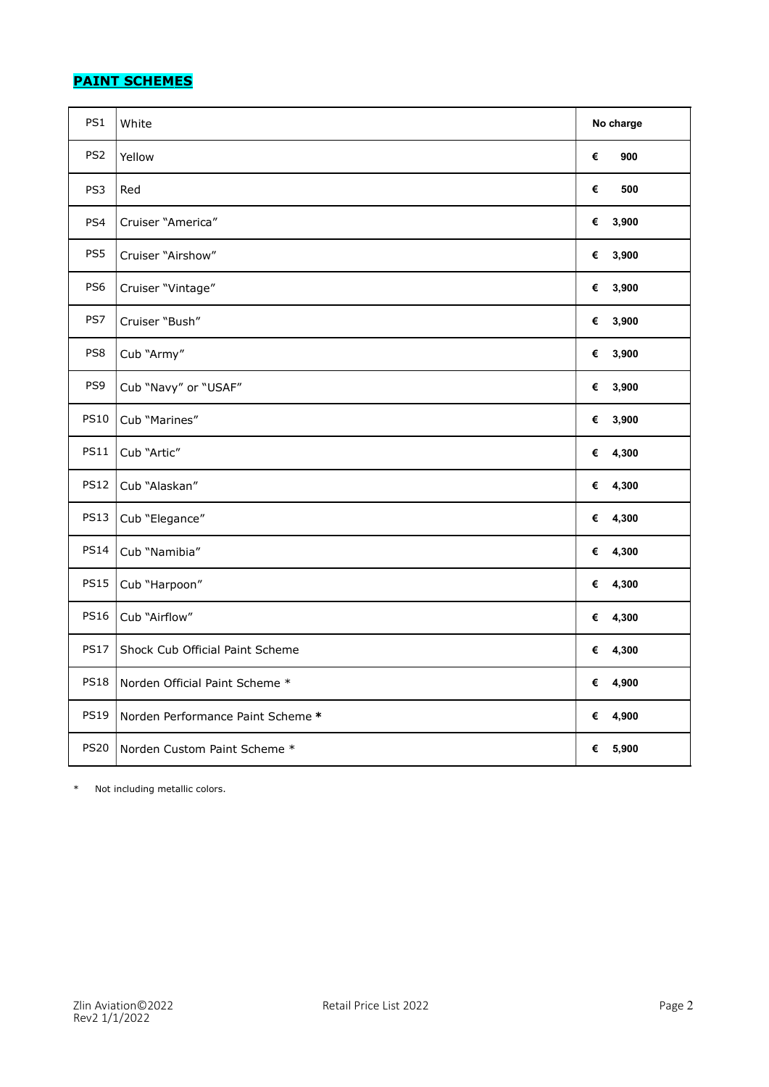# **PAINT SCHEMES**

| PS1             | White                             | No charge  |
|-----------------|-----------------------------------|------------|
| PS <sub>2</sub> | Yellow                            | €<br>900   |
| PS3             | Red                               | €<br>500   |
| PS4             | Cruiser "America"                 | 3,900<br>€ |
| PS5             | Cruiser "Airshow"                 | 3,900<br>€ |
| PS6             | Cruiser "Vintage"                 | 3,900<br>€ |
| PS7             | Cruiser "Bush"                    | 3,900<br>€ |
| PS8             | Cub "Army"                        | € 3,900    |
| PS9             | Cub "Navy" or "USAF"              | 3,900<br>€ |
| <b>PS10</b>     | Cub "Marines"                     | 3,900<br>€ |
| <b>PS11</b>     | Cub "Artic"                       | € $4,300$  |
| <b>PS12</b>     | Cub "Alaskan"                     | € $4,300$  |
| <b>PS13</b>     | Cub "Elegance"                    | € $4,300$  |
| <b>PS14</b>     | Cub "Namibia"                     | € $4,300$  |
| <b>PS15</b>     | Cub "Harpoon"                     | € $4,300$  |
| <b>PS16</b>     | Cub "Airflow"                     | € $4,300$  |
| <b>PS17</b>     | Shock Cub Official Paint Scheme   | € $4,300$  |
| <b>PS18</b>     | Norden Official Paint Scheme *    | 4,900<br>€ |
| <b>PS19</b>     | Norden Performance Paint Scheme * | 4,900<br>€ |
| <b>PS20</b>     | Norden Custom Paint Scheme *      | € $5,900$  |

\* Not including metallic colors.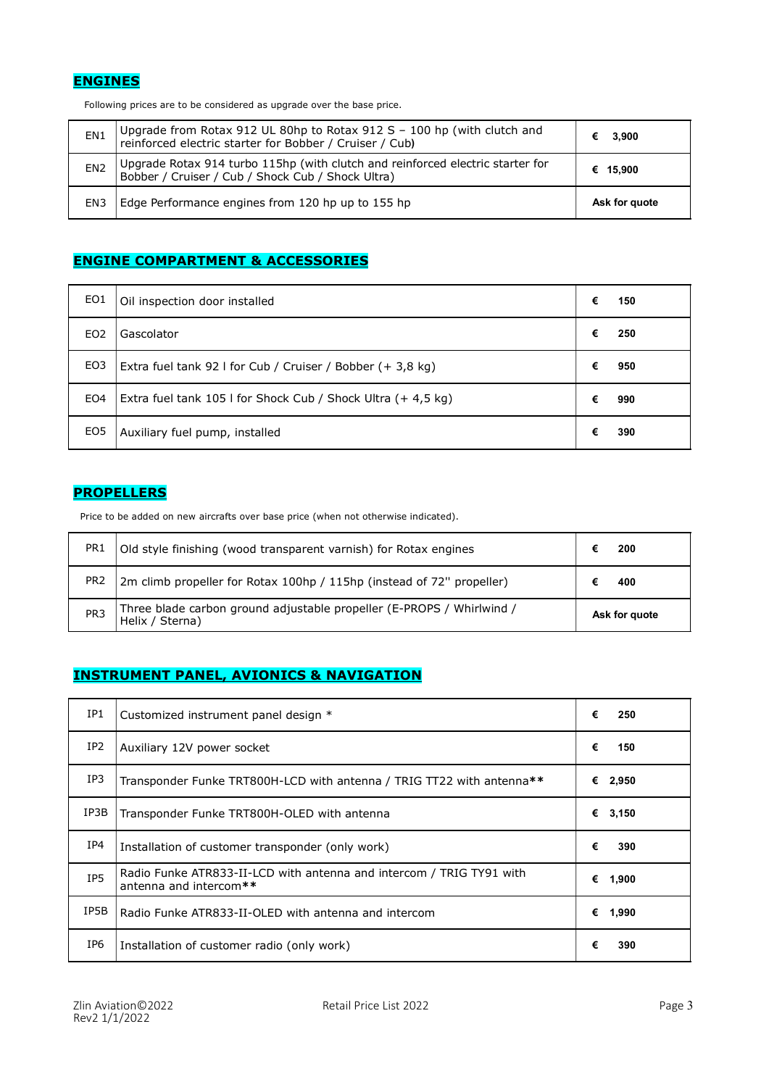# **ENGINES**

Following prices are to be considered as upgrade over the base price.

| EN <sub>1</sub> | Upgrade from Rotax 912 UL 80hp to Rotax 912 S - 100 hp (with clutch and<br>reinforced electric starter for Bobber / Cruiser / Cub)  | 3,900         |
|-----------------|-------------------------------------------------------------------------------------------------------------------------------------|---------------|
| EN <sub>2</sub> | Upgrade Rotax 914 turbo 115hp (with clutch and reinforced electric starter for<br>Bobber / Cruiser / Cub / Shock Cub / Shock Ultra) | € 15,900      |
| EN3             | Edge Performance engines from 120 hp up to 155 hp                                                                                   | Ask for quote |

## ENGINE COMPARTMENT & ACCESSORIES

| EO1             | Oil inspection door installed                                       | € | 150 |
|-----------------|---------------------------------------------------------------------|---|-----|
| EO <sub>2</sub> | Gascolator                                                          | € | 250 |
| EO3             | Extra fuel tank 92 I for Cub / Cruiser / Bobber $(+3,8 \text{ kg})$ | € | 950 |
| EO4             | Extra fuel tank 105 I for Shock Cub / Shock Ultra (+ 4,5 kg)        | € | 990 |
| EO <sub>5</sub> | Auxiliary fuel pump, installed                                      | € | 390 |

#### **PROPELLERS**

Price to be added on new aircrafts over base price (when not otherwise indicated).

| PR <sub>1</sub> | Old style finishing (wood transparent varnish) for Rotax engines                         | 200           |
|-----------------|------------------------------------------------------------------------------------------|---------------|
| PR <sub>2</sub> | 2m climb propeller for Rotax 100hp / 115hp (instead of 72" propeller)                    | 400           |
| PR <sub>3</sub> | Three blade carbon ground adjustable propeller (E-PROPS / Whirlwind /<br>Helix / Sterna) | Ask for quote |

#### INSTRUMENT PANEL, AVIONICS & NAVIGATION

| IP1             | Customized instrument panel design *                                                           | €<br>250   |
|-----------------|------------------------------------------------------------------------------------------------|------------|
| IP2             | Auxiliary 12V power socket                                                                     | €<br>150   |
| IP3             | Transponder Funke TRT800H-LCD with antenna / TRIG TT22 with antenna**                          | €<br>2,950 |
| IP3B            | Transponder Funke TRT800H-OLED with antenna                                                    | €<br>3,150 |
| IP4             | Installation of customer transponder (only work)                                               | €<br>390   |
| IP <sub>5</sub> | Radio Funke ATR833-II-LCD with antenna and intercom / TRIG TY91 with<br>antenna and intercom** | €<br>1,900 |
| IP5B            | Radio Funke ATR833-II-OLED with antenna and intercom                                           | €<br>1,990 |
| IP6             | Installation of customer radio (only work)                                                     | €<br>390   |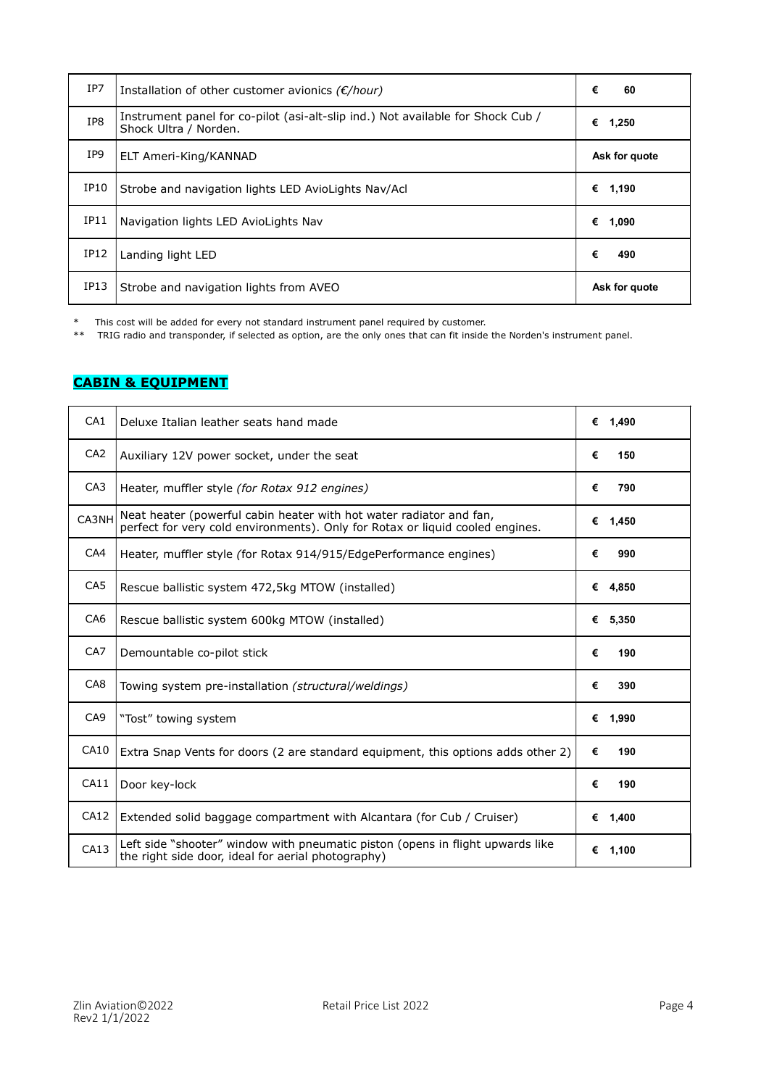| IP7  | Installation of other customer avionics $(E/hour)$                                                       | €<br>60       |
|------|----------------------------------------------------------------------------------------------------------|---------------|
| IP8  | Instrument panel for co-pilot (asi-alt-slip ind.) Not available for Shock Cub /<br>Shock Ultra / Norden. | €<br>1,250    |
| IP9  | ELT Ameri-King/KANNAD                                                                                    | Ask for quote |
| IP10 | Strobe and navigation lights LED AvioLights Nav/Acl                                                      | €<br>1,190    |
| IP11 | Navigation lights LED AvioLights Nav                                                                     | €<br>1,090    |
| IP12 | Landing light LED                                                                                        | €<br>490      |
| IP13 | Strobe and navigation lights from AVEO                                                                   | Ask for quote |

\* This cost will be added for every not standard instrument panel required by customer.

\*\* TRIG radio and transponder, if selected as option, are the only ones that can fit inside the Norden's instrument panel.

#### CABIN & EQUIPMENT

| CA <sub>1</sub> | Deluxe Italian leather seats hand made                                                                                                               | € 1.490    |
|-----------------|------------------------------------------------------------------------------------------------------------------------------------------------------|------------|
| CA <sub>2</sub> | Auxiliary 12V power socket, under the seat                                                                                                           | €<br>150   |
| CA <sub>3</sub> | Heater, muffler style <i>(for Rotax 912 engines)</i>                                                                                                 | €<br>790   |
| CA3NH           | Neat heater (powerful cabin heater with hot water radiator and fan,<br>perfect for very cold environments). Only for Rotax or liquid cooled engines. | 1,450<br>€ |
| CA4             | Heater, muffler style (for Rotax 914/915/EdgePerformance engines)                                                                                    | €<br>990   |
| CA <sub>5</sub> | Rescue ballistic system 472,5kg MTOW (installed)                                                                                                     | € 4,850    |
| CA <sub>6</sub> | Rescue ballistic system 600kg MTOW (installed)                                                                                                       | € $5,350$  |
| CA <sub>7</sub> | Demountable co-pilot stick                                                                                                                           | €<br>190   |
| CA <sub>8</sub> | Towing system pre-installation (structural/weldings)                                                                                                 | €<br>390   |
| CA <sub>9</sub> | "Tost" towing system                                                                                                                                 | 1,990<br>€ |
| CA10            | Extra Snap Vents for doors (2 are standard equipment, this options adds other 2)                                                                     | €<br>190   |
| CA11            | Door key-lock                                                                                                                                        | €<br>190   |
| CA12            | Extended solid baggage compartment with Alcantara (for Cub / Cruiser)                                                                                | €<br>1,400 |
| CA13            | Left side "shooter" window with pneumatic piston (opens in flight upwards like<br>the right side door, ideal for aerial photography)                 | 1,100<br>€ |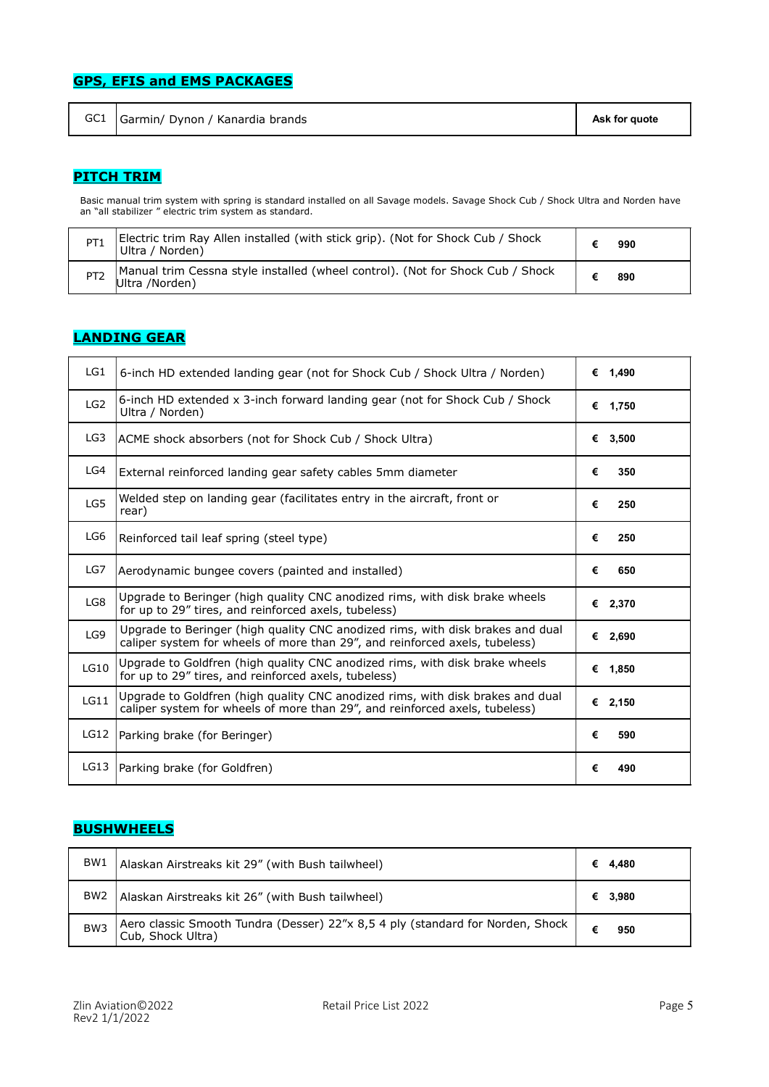# GPS, EFIS and EMS PACKAGES

|  | GC1 Garmin/ Dynon / Kanardia brands | Ask for quote |
|--|-------------------------------------|---------------|
|--|-------------------------------------|---------------|

#### PITCH TRIM

Basic manual trim system with spring is standard installed on all Savage models. Savage Shock Cub / Shock Ultra and Norden have an "all stabilizer " electric trim system as standard.

| PT <sub>1</sub> | Electric trim Ray Allen installed (with stick grip). (Not for Shock Cub / Shock<br>Ultra / Norden) | 990 |
|-----------------|----------------------------------------------------------------------------------------------------|-----|
| PT <sub>2</sub> | Manual trim Cessna style installed (wheel control). (Not for Shock Cub / Shock<br>Ultra /Norden)   | 890 |

# LANDING GEAR

| LG1  | 6-inch HD extended landing gear (not for Shock Cub / Shock Ultra / Norden)                                                                                    |   | € 1.490   |
|------|---------------------------------------------------------------------------------------------------------------------------------------------------------------|---|-----------|
| LG2  | 6-inch HD extended x 3-inch forward landing gear (not for Shock Cub / Shock<br>Ultra / Norden)                                                                |   | € 1,750   |
| LG3  | ACME shock absorbers (not for Shock Cub / Shock Ultra)                                                                                                        |   | € 3,500   |
| LG4  | External reinforced landing gear safety cables 5mm diameter                                                                                                   | € | 350       |
| LG5  | Welded step on landing gear (facilitates entry in the aircraft, front or<br>rear)                                                                             | € | 250       |
| LG6  | Reinforced tail leaf spring (steel type)                                                                                                                      | € | 250       |
| LG7  | Aerodynamic bungee covers (painted and installed)                                                                                                             | € | 650       |
| LG8  | Upgrade to Beringer (high guality CNC anodized rims, with disk brake wheels<br>for up to 29" tires, and reinforced axels, tubeless)                           |   | € 2,370   |
| LG9  | Upgrade to Beringer (high quality CNC anodized rims, with disk brakes and dual<br>caliper system for wheels of more than 29", and reinforced axels, tubeless) |   | € 2,690   |
| LG10 | Upgrade to Goldfren (high guality CNC anodized rims, with disk brake wheels<br>for up to 29" tires, and reinforced axels, tubeless)                           |   | € $1,850$ |
| LG11 | Upgrade to Goldfren (high quality CNC anodized rims, with disk brakes and dual<br>caliper system for wheels of more than 29", and reinforced axels, tubeless) |   | € 2,150   |
| LG12 | Parking brake (for Beringer)                                                                                                                                  | € | 590       |
| LG13 | Parking brake (for Goldfren)                                                                                                                                  | € | 490       |

#### **BUSHWHEELS**

| BW <sub>1</sub> | Alaskan Airstreaks kit 29" (with Bush tailwheel)                                                    | € | 4.480   |
|-----------------|-----------------------------------------------------------------------------------------------------|---|---------|
| BW2             | Alaskan Airstreaks kit 26" (with Bush tailwheel)                                                    |   | € 3,980 |
| BW <sub>3</sub> | Aero classic Smooth Tundra (Desser) 22"x 8,5 4 ply (standard for Norden, Shock<br>Cub, Shock Ultra) |   | 950     |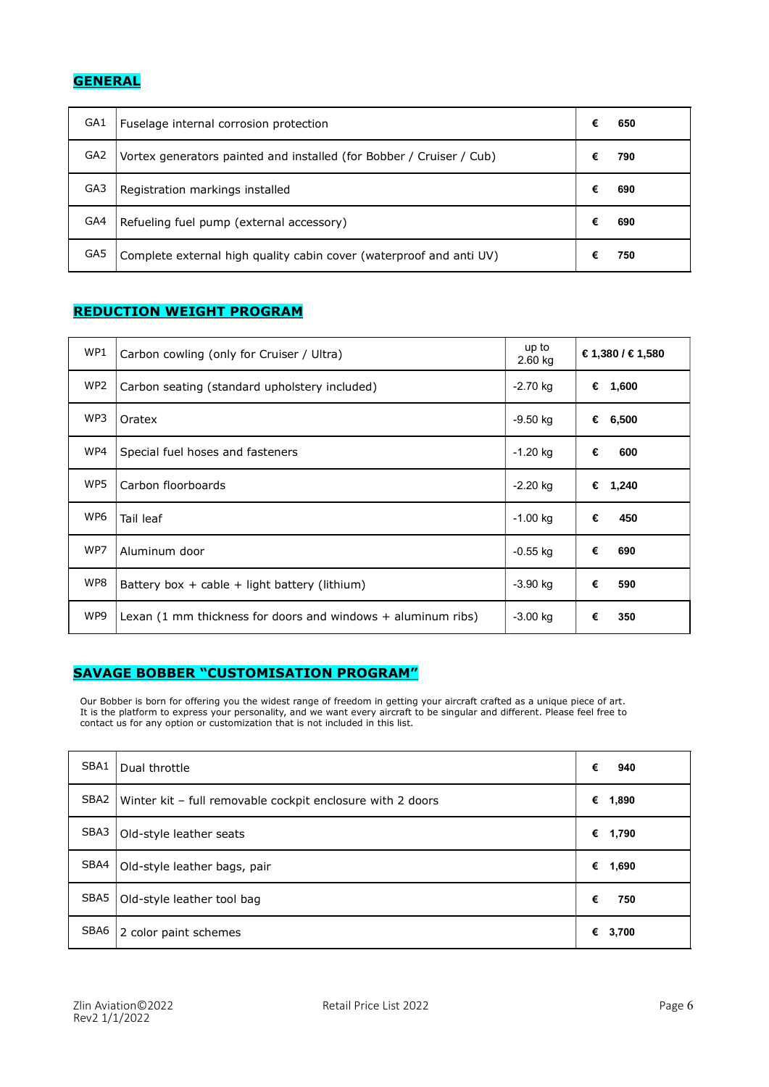# **GENERAL**

| GA1 | Fuselage internal corrosion protection                               | € | 650 |
|-----|----------------------------------------------------------------------|---|-----|
| GA2 | Vortex generators painted and installed (for Bobber / Cruiser / Cub) |   | 790 |
| GA3 | Registration markings installed                                      | € | 690 |
| GA4 | Refueling fuel pump (external accessory)                             | € | 690 |
| GA5 | Complete external high quality cabin cover (waterproof and anti UV)  |   | 750 |

# REDUCTION WEIGHT PROGRAM

| WP1 | Carbon cowling (only for Cruiser / Ultra)                                | up to<br>2.60 kg | € 1,380 / € 1,580 |
|-----|--------------------------------------------------------------------------|------------------|-------------------|
| WP2 | Carbon seating (standard upholstery included)                            | $-2.70$ kg       | €<br>1,600        |
| WP3 | Oratex                                                                   | -9.50 kg         | €<br>6,500        |
| WP4 | Special fuel hoses and fasteners                                         | $-1.20$ kg       | €<br>600          |
| WP5 | Carbon floorboards                                                       | $-2.20$ kg       | €<br>1,240        |
| WP6 | Tail leaf                                                                | $-1.00$ kg       | €<br>450          |
| WP7 | Aluminum door                                                            | $-0.55$ kg       | €<br>690          |
| WP8 | Battery box + cable + light battery (lithium)                            | $-3.90$ kg       | €<br>590          |
| WP9 | Lexan $(1 \text{ mm thickness}$ for doors and windows $+$ aluminum ribs) | $-3.00$ kg       | 350<br>€          |

# SAVAGE BOBBER "CUSTOMISATION PROGRAM"

Our Bobber is born for offering you the widest range of freedom in getting your aircraft crafted as a unique piece of art. It is the platform to express your personality, and we want every aircraft to be singular and different. Please feel free to contact us for any option or customization that is not included in this list.

| SBA1 | Dual throttle                                              | €<br>940   |
|------|------------------------------------------------------------|------------|
| SBA2 | Winter kit - full removable cockpit enclosure with 2 doors | €<br>1,890 |
| SBA3 | Old-style leather seats                                    | € 1,790    |
| SBA4 | Old-style leather bags, pair                               | €<br>1,690 |
| SBA5 | Old-style leather tool bag                                 | €<br>750   |
| SBA6 | 2 color paint schemes                                      | €<br>3,700 |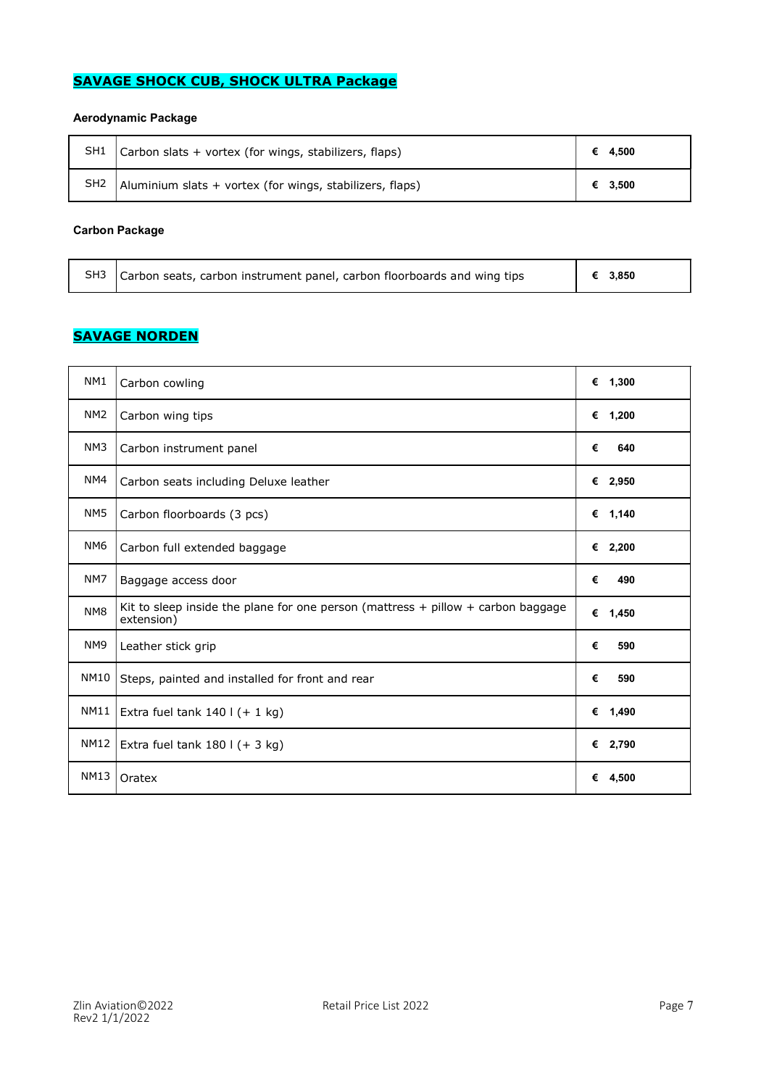# SAVAGE SHOCK CUB, SHOCK ULTRA Package

#### Aerodynamic Package

| SH1             | $\vert$ Carbon slats + vortex (for wings, stabilizers, flaps) | € 4.500 |
|-----------------|---------------------------------------------------------------|---------|
| SH <sub>2</sub> | Aluminium slats + vortex (for wings, stabilizers, flaps)      | € 3,500 |

#### Carbon Package

|  | SH3 Carbon seats, carbon instrument panel, carbon floorboards and wing tips | $\left  \right  \in 3.850$ |
|--|-----------------------------------------------------------------------------|----------------------------|
|--|-----------------------------------------------------------------------------|----------------------------|

# **SAVAGE NORDEN**

| NM1             | Carbon cowling                                                                                     | € $1,300$  |
|-----------------|----------------------------------------------------------------------------------------------------|------------|
| NM <sub>2</sub> | Carbon wing tips                                                                                   | € 1,200    |
| NM <sub>3</sub> | Carbon instrument panel                                                                            | €<br>640   |
| NM4             | Carbon seats including Deluxe leather                                                              | € 2,950    |
| NM <sub>5</sub> | Carbon floorboards (3 pcs)                                                                         | € $1,140$  |
| NM <sub>6</sub> | Carbon full extended baggage                                                                       | € 2,200    |
| NM7             | Baggage access door                                                                                | €<br>490   |
| NM <sub>8</sub> | Kit to sleep inside the plane for one person (mattress $+$ pillow $+$ carbon baggage<br>extension) | € 1,450    |
| NM <sub>9</sub> | Leather stick grip                                                                                 | €<br>590   |
| NM10            | Steps, painted and installed for front and rear                                                    | €<br>590   |
| NM11            | Extra fuel tank $140$   $(+ 1$ kg)                                                                 | € 1,490    |
| NM12            | Extra fuel tank $180$ I (+ 3 kg)                                                                   | € 2,790    |
| <b>NM13</b>     | Oratex                                                                                             | €<br>4,500 |